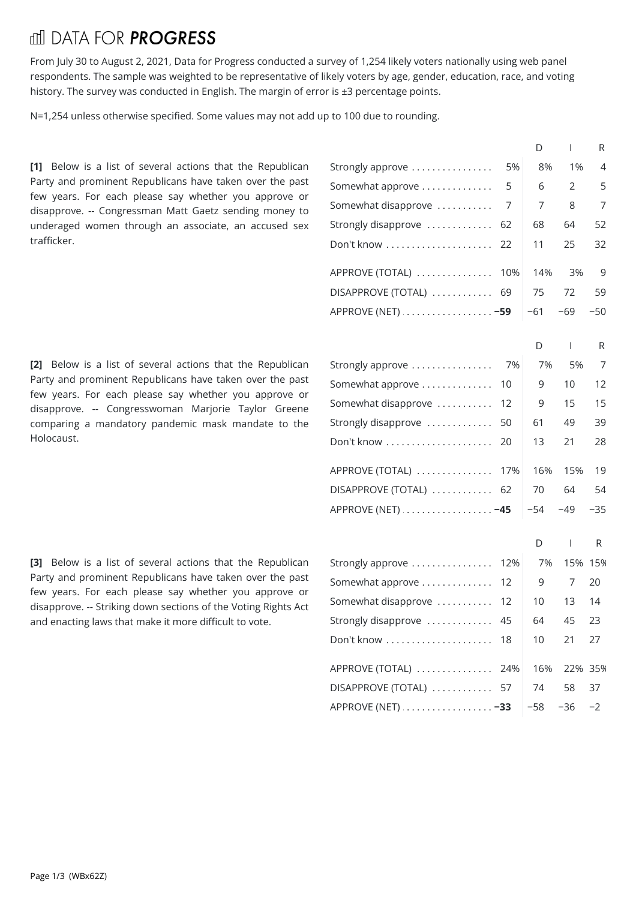## fill DATA FOR **PROGRESS**

From July 30 to August 2, 2021, Data for Progress conducted a survey of 1,254 likely voters nationally using web panel respondents. The sample was weighted to be representative of likely voters by age, gender, education, race, and voting history. The survey was conducted in English. The margin of error is ±3 percentage points.

N=1,254 unless otherwise specified. Some values may not add up to 100 due to rounding.

[1] Below is a list of several actions that the Republican Party and prominent Republicans have taken over the past few years. For each please say whether you approve or disapprove. -- Congressman Matt Gaetz sending money to underaged women through an associate, an accused sex trafficker.

[2] Below is a list of several actions that the Republican Party and prominent Republicans have taken over the past few years. For each please say whether you approve or disapprove. -- Congresswoman Marjorie Taylor Greene comparing a mandatory pandemic mask mandate to the Holocaust.

[3] Below is a list of several actions that the Republican Party and prominent Republicans have taken over the past few years. For each please say whether you approve or disapprove. -- Striking down sections of the Voting Rights Act and enacting laws that make it more difficult to vote.

|                        |     | D     | $\mathbf{I}$   | R     |  |
|------------------------|-----|-------|----------------|-------|--|
| Strongly approve       | 5%  | 8%    | 1%             | 4     |  |
| Somewhat approve       | 5   | 6     | 2              | 5     |  |
| Somewhat disapprove    | 7   | 7     | 8              | 7     |  |
| Strongly disapprove    | 62  | 68    | 64             | 52    |  |
| Don't know             | 22  | 11    | 25             | 32    |  |
| APPROVE (TOTAL)        | 10% | 14%   | 3%             | 9     |  |
| DISAPPROVE (TOTAL)     | 69  | 75    | 72             | 59    |  |
| APPROVE (NET)  -59     |     | $-61$ | $-69$          | $-50$ |  |
|                        |     | D     | $\mathbf{I}$   | R     |  |
| Strongly approve       | 7%  | 7%    | 5%             | 7     |  |
| Somewhat approve       | 10  | 9     | 10             | 12    |  |
| Somewhat disapprove    | 12  | 9     | 15             | 15    |  |
| Strongly disapprove    | 50  | 61    | 49             | 39    |  |
| Don't know             | 20  | 13    | 21             | 28    |  |
|                        |     |       |                |       |  |
| APPROVE (TOTAL)        | 17% | 16%   | 15%            | 19    |  |
| DISAPPROVE (TOTAL)     | 62  | 70    | 64             | 54    |  |
| APPROVE (NET)  -45     |     | $-54$ | -49            | $-35$ |  |
|                        |     | D     | $\overline{1}$ | R     |  |
| Strongly approve       | 12% | 7%    | 15% 15%        |       |  |
| Somewhat approve       | 12  | 9     | 7              | 20    |  |
| Somewhat disapprove    | 12  | 10    | 13             | 14    |  |
| Strongly disapprove    | 45  | 64    | 45             | 23    |  |
| Don't know             | 18  | 10    | 21             | 27    |  |
| APPROVE (TOTAL)        | 24% | 16%   | 22% 35%        |       |  |
| DISAPPROVE (TOTAL)  57 |     | 74    | 58             | 37    |  |
| APPROVE (NET)  -33     |     | $-58$ | $-36$          | $-2$  |  |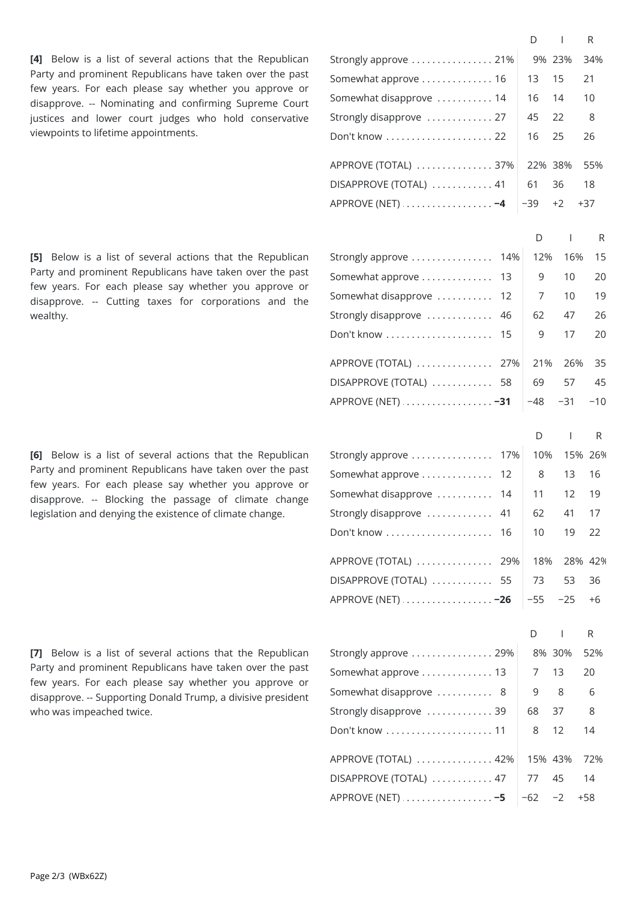[4] Below is a list of several actions that the Republican Party and prominent Republicans have taken over the past few years. For each please say whether you approve or disapprove. -- Nominating and confirming Supreme Court justices and lower court judges who hold conservative viewpoints to lifetime appointments.

[5] Below is a list of several actions that the Republican Party and prominent Republicans have taken over the past few years. For each please say whether you approve or disapprove. -- Cutting taxes for corporations and the wealthy.

**[6]** Below is a list of several actions that the Republican Party and prominent Republicans have taken over the past few years. For each please say whether you approve or disapprove. -- Blocking the passage of climate change legislation and denying the existence of climate change.

Strongly approve  $\dots\dots\dots\dots\dots$  21% 9% 23% 34% Somewhat approve  $\dots\dots\dots\dots 16$   $\mid$   $\;13$   $\;$   $\;15$   $\;$  21 Somewhat disapprove  $\dots\dots\dots 14$   $\quad$  16  $\quad$  14  $\quad$  10 Strongly disapprove  $\,\dots\ldots\ldots\ldots\,$  27  $\,$   $\,$   $\,$  45  $\,$  22  $\,$   $\,$  8  $\,$ . . . . . . . . . . . . . . . . . . . . . . . . . . . . . . . . . . . . . . . . . . . . . . . . . . . . . . . . . . . . . . . . . . . . . . . . . . . . . . . . Don'tknow 22 162526 . . . . . . . . . . . . . . . . . . . . . . . . . . . . . . . . . . . . . . . . . . . . . . . . . . . . . . . . . . . . . . . . . . . . . . . . . . . . . . . . APPROVE (TOTAL)37%22% 38% 55% . . . . . . . . . . . . . . . . . . . . . . . . . . . . . . . . . . . . . . . . . . . . . . . . . . . . . . . . . . . . . . . . . . . . . . . . . . . . . . . . DISAPPROVE (TOTAL)41 613618 . . . . . . . . . . . . . . . . . . . . . . . . . . . . . . . . . . . . . . . . . . . . . . . . . . . . . . . . . . . . . . . . . . . . . . . . . . . . . . . . APPROVE (NET) **−4** −39+2+37 D I R Strongly approve  $\dots\dots\dots\dots\dots\ 14\%|\ \ 12\%|\ \ 16\%|\ \ 15$ Somewhat approve . . . . . . . . . . . . . 13 | 9 10 20 Somewhat disapprove  $\dots\dots\dots$  12  $\vert\quad$  7  $\vert$  10  $\vert$  19 Strongly disapprove . . . . . . . . . . . 46 | 62 | 47 | 26 . . . . . . . . . . . . . . . . . . . . . . . . . . . . . . . . . . . . . . . . . . . . . . . . . . . . . . . . . . . . . . . . . . . . . . . . . . . . . . . . Don'tknow 15 9 17 20 APPROVE (TOTAL) . . . . . . . . . . . . . . 27% | 21% 26% 35 DISAPPROVE (TOTAL) . . . . . . . . . . . 58 | 69 57 45 . . . . . . . . . . . . . . . . . . . . . . . . . . . . . . . . . . . . . . . . . . . . . . . . . . . . . . . . . . . . . . . . . . . . . . . . . . . . . . . . APPROVE (NET) **−31** −48 −31 −10 D I R Strongly approve  $\ldots\ldots\ldots\ldots\ldots\quad$  17% | 10% 15% 26% Somewhat approve . . . . . . . . . . . . . 12 | 8 13 16 Somewhat disapprove  $\dots\dots\dots$  14  $\vert$  11  $\vert$  12  $\vert$  19 Strongly disapprove . . . . . . . . . . . 41 | 62 | 41 | 17 . . . . . . . . . . . . . . . . . . . . . . . . . . . . . . . . . . . . . . . . . . . . . . . . . . . . . . . . . . . . . . . . . . . . . . . . . . . . . . . . Don'tknow 16 10 19 22 APPROVE (TOTAL) . . . . . . . . . . . . . . 29% | 18% 28% 42% . . . . . . . . . . . . . . . . . . . . . . . . . . . . . . . . . . . . . . . . . . . . . . . . . . . . . . . . . . . . . . . . . . . . . . . . . . . . . . . . DISAPPROVE (TOTAL)55 73 53 36 . . . . . . . . . . . . . . . . . . . . . . . . . . . . . . . . . . . . . . . . . . . . . . . . . . . . . . . . . . . . . . . . . . . . . . . . . . . . . . . . APPROVE (NET) **−26** −55 −25 +6 D I R Strongly approve  $\ldots\ldots\ldots\ldots\ldots\,$  29%  $\vert\quad$  8% 30%  $\vert$  52% Somewhat approve  $\dots\dots\dots\dots 13$   $\quad$  7  $\quad$  13  $\quad$  20 Somewhat disapprove  $\dots\dots\dots\ 8$   $9$   $8$   $6$ D I R

| Strongly disapprove $\ldots \ldots \ldots \ldots 39$   68 37 |  |  |
|--------------------------------------------------------------|--|--|
| Don't know  11   8 12 14                                     |  |  |
| APPROVE (TOTAL)  42% 15% 43% 72%                             |  |  |
| DISAPPROVE (TOTAL)  47 77 45 14                              |  |  |
| APPROVE (NET) $\ldots \ldots \ldots \ldots -5$ -62 -2 +58    |  |  |

[7] Below is a list of several actions that the Republican Party and prominent Republicans have taken over the past few years. For each please say whether you approve or disapprove. -- Supporting Donald Trump, a divisive president who was impeached twice.